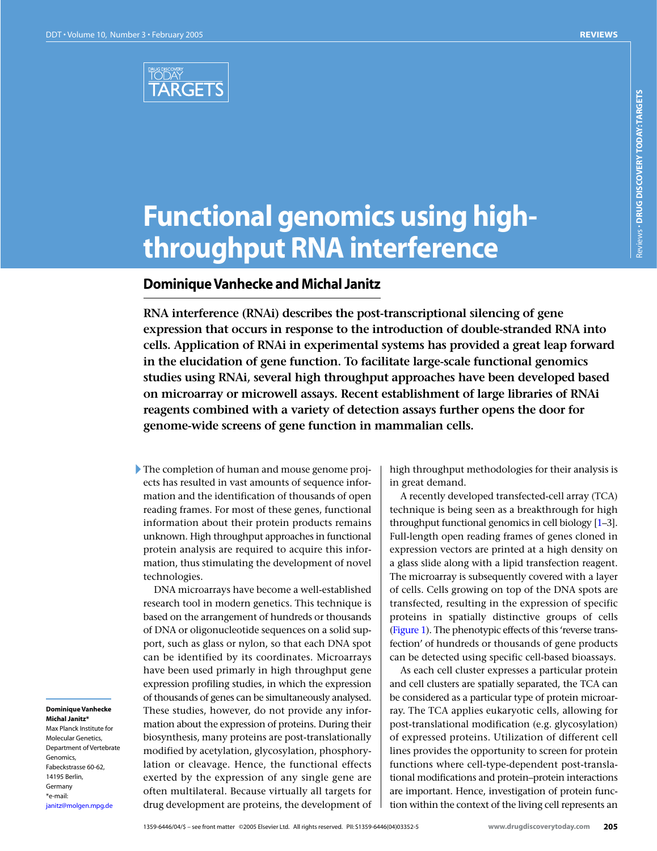

# **Functional genomics using highthroughput RNA interference**

## **Dominique Vanhecke and Michal Janitz**

**RNA interference (RNAi) describes the post-transcriptional silencing of gene expression that occurs in response to the introduction of double-stranded RNA into cells. Application of RNAi in experimental systems has provided a great leap forward in the elucidation of gene function. To facilitate large-scale functional genomics studies using RNAi, several high throughput approaches have been developed based on microarray or microwell assays. Recent establishment of large libraries of RNAi reagents combined with a variety of detection assays further opens the door for genome-wide screens of gene function in mammalian cells.**

The completion of human and mouse genome projects has resulted in vast amounts of sequence information and the identification of thousands of open reading frames. For most of these genes, functional information about their protein products remains unknown. High throughput approaches in functional protein analysis are required to acquire this information, thus stimulating the development of novel technologies.

DNA microarrays have become a well-established research tool in modern genetics. This technique is based on the arrangement of hundreds or thousands of DNA or oligonucleotide sequences on a solid support, such as glass or nylon, so that each DNA spot can be identified by its coordinates. Microarrays have been used primarly in high throughput gene expression profiling studies, in which the expression of thousands of genes can be simultaneously analysed. These studies, however, do not provide any information about the expression of proteins. During their biosynthesis, many proteins are post-translationally modified by acetylation, glycosylation, phosphorylation or cleavage. Hence, the functional effects exerted by the expression of any single gene are often multilateral. Because virtually all targets for drug development are proteins, the development of high throughput methodologies for their analysis is in great demand.

A recently developed transfected-cell array (TCA) technique is being seen as a breakthrough for high throughput functional genomics in cell biology [\[1–](#page-6-0)3]. Full-length open reading frames of genes cloned in expression vectors are printed at a high density on a glass slide along with a lipid transfection reagent. The microarray is subsequently covered with a layer of cells. Cells growing on top of the DNA spots are transfected, resulting in the expression of specific proteins in spatially distinctive groups of cells [\(Figure](#page-1-0) 1). The phenotypic effects of this 'reverse transfection' of hundreds or thousands of gene products can be detected using specific cell-based bioassays.

As each cell cluster expresses a particular protein and cell clusters are spatially separated, the TCA can be considered as a particular type of protein microarray. The TCA applies eukaryotic cells, allowing for post-translational modification (e.g. glycosylation) of expressed proteins. Utilization of different cell lines provides the opportunity to screen for protein functions where cell-type-dependent post-translational modifications and protein–protein interactions are important. Hence, investigation of protein function within the context of the living cell represents an

#### **Dominique Vanhecke Michal Janitz\***

Max Planck Institute for Molecular Genetics, Department of Vertebrate Genomics, Fabeckstrasse 60-62, 14195 Berlin, Germany \*e-mail: [janitz@molgen.mpg.de](mailto:janitz@molgen.mpg.de)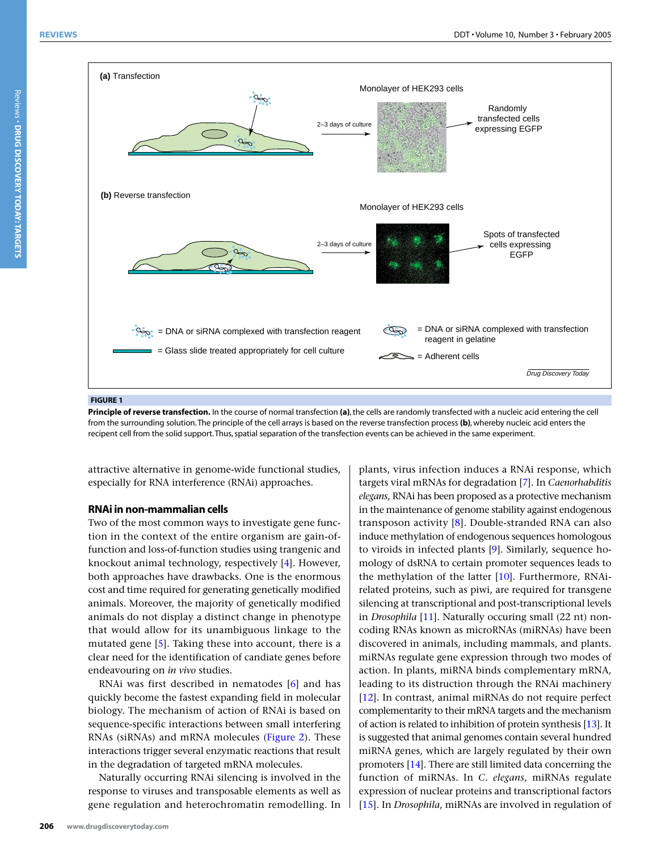<span id="page-1-0"></span>

#### **FIGURE 1**

**Principle of reverse transfection.** In the course of normal transfection **(a)**, the cells are randomly transfected with a nucleic acid entering the cell from the surrounding solution.The principle of the cell arrays is based on the reverse transfection process **(b)**, whereby nucleic acid enters the recipent cell from the solid support.Thus, spatial separation of the transfection events can be achieved in the same experiment.

attractive alternative in genome-wide functional studies, especially for RNA interference (RNAi) approaches.

#### **RNAi in non-mammalian cells**

Two of the most common ways to investigate gene function in the context of the entire organism are gain-offunction and loss-of-function studies using trangenic and knockout animal technology, respectively [\[4\]](#page-6-0). However, both approaches have drawbacks. One is the enormous cost and time required for generating genetically modified animals. Moreover, the majority of genetically modified animals do not display a distinct change in phenotype that would allow for its unambiguous linkage to the mutated gene [\[5\]](#page-6-0). Taking these into account, there is a clear need for the identification of candiate genes before endeavouring on *in vivo* studies.

RNAi was first described in nematodes [\[6\]](#page-6-0) and has quickly become the fastest expanding field in molecular biology. The mechanism of action of RNAi is based on sequence-specific interactions between small interfering RNAs (siRNAs) and mRNA molecules [\(Figure 2](#page-2-0)). These interactions trigger several enzymatic reactions that result in the degradation of targeted mRNA molecules.

Naturally occurring RNAi silencing is involved in the response to viruses and transposable elements as well as gene regulation and heterochromatin remodelling. In

**206 www.drugdiscoverytoday.com**

plants, virus infection induces a RNAi response, which targets viral mRNAs for degradation [\[7\]](#page-6-0). In *Caenorhabditis elegans*, RNAi has been proposed as a protective mechanism in the maintenance of genome stability against endogenous transposon activity [[8](#page-6-0)]. Double-stranded RNA can also induce methylation of endogenous sequences homologous to viroids in infected plants [\[9](#page-6-0)]. Similarly, sequence homology of dsRNA to certain promoter sequences leads to the methylation of the latter [[10](#page-6-0)]. Furthermore, RNAirelated proteins, such as piwi, are required for transgene silencing at transcriptional and post-transcriptional levels in *Drosophila* [[11](#page-6-0)]. Naturally occuring small (22 nt) noncoding RNAs known as microRNAs (miRNAs) have been discovered in animals, including mammals, and plants. miRNAs regulate gene expression through two modes of action. In plants, miRNA binds complementary mRNA, leading to its distruction through the RNAi machinery [[12](#page-6-0)]. In contrast, animal miRNAs do not require perfect complementarity to their mRNA targets and the mechanism of action is related to inhibition of protein synthesis [[13\]](#page-6-0). It is suggested that animal genomes contain several hundred miRNA genes, which are largely regulated by their own promoters [[14](#page-6-0)]. There are still limited data concerning the function of miRNAs. In *C. elegans*, miRNAs regulate expression of nuclear proteins and transcriptional factors [[15](#page-6-0)]. In *Drosophila*, miRNAs are involved in regulation of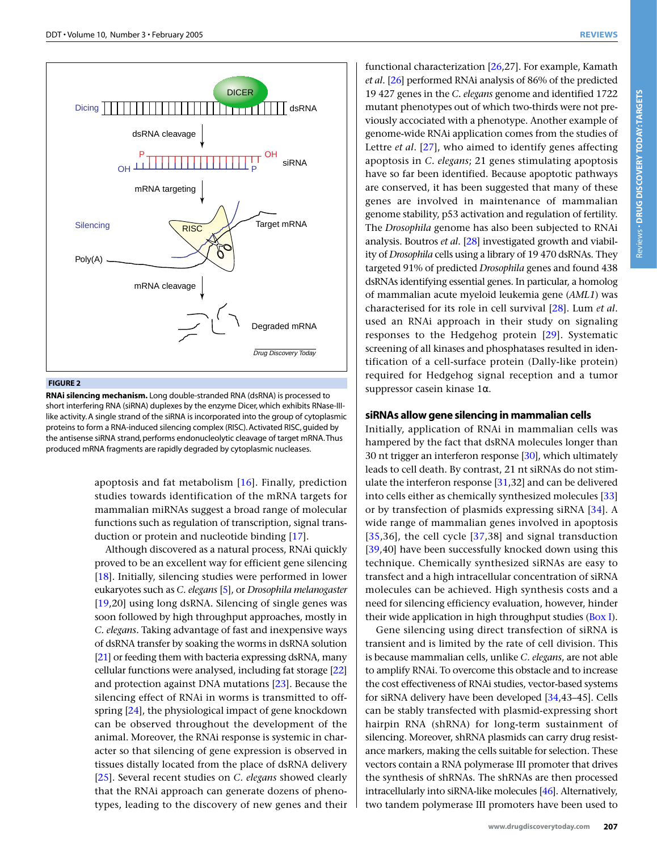<span id="page-2-0"></span>

**FIGURE 2**

**RNAi silencing mechanism.** Long double-stranded RNA (dsRNA) is processed to short interfering RNA (siRNA) duplexes by the enzyme Dicer, which exhibits RNase-IIIlike activity. A single strand of the siRNA is incorporated into the group of cytoplasmic proteins to form a RNA-induced silencing complex (RISC). Activated RISC, guided by the antisense siRNA strand, performs endonucleolytic cleavage of target mRNA.Thus produced mRNA fragments are rapidly degraded by cytoplasmic nucleases.

apoptosis and fat metabolism  $[16]$  $[16]$ . Finally, prediction studies towards identification of the mRNA targets for mammalian miRNAs suggest a broad range of molecular functions such as regulation of transcription, signal transduction or protein and nucleotide binding [[17](#page-6-0)].

Although discovered as a natural process, RNAi quickly proved to be an excellent way for efficient gene silencing [[18\]](#page-6-0). Initially, silencing studies were performed in lower eukaryotes such as *C. elegans* [\[5\]](#page-6-0), or *Drosophila melanogaster* [[19,](#page-6-0)20] using long dsRNA. Silencing of single genes was soon followed by high throughput approaches, mostly in *C. elegans.* Taking advantage of fast and inexpensive ways of dsRNA transfer by soaking the worms in dsRNA solution [\[21](#page-6-0)] or feeding them with bacteria expressing dsRNA, many cellular functions were analysed, including fat storage [\[22](#page-6-0)] and protection against DNA mutations [\[23](#page-6-0)]. Because the silencing effect of RNAi in worms is transmitted to offspring [\[24](#page-6-0)], the physiological impact of gene knockdown can be observed throughout the development of the animal. Moreover, the RNAi response is systemic in character so that silencing of gene expression is observed in tissues distally located from the place of dsRNA delivery [\[25\]](#page-6-0). Several recent studies on *C. elegans* showed clearly that the RNAi approach can generate dozens of phenotypes, leading to the discovery of new genes and their functional characterization [[26](#page-6-0),27]. For example, Kamath *et al*. [\[26\]](#page-6-0) performed RNAi analysis of 86% of the predicted 19 427 genes in the *C. elegans* genome and identified 1722 mutant phenotypes out of which two-thirds were not previously accociated with a phenotype. Another example of genome-wide RNAi application comes from the studies of Lettre *et al*. [[27](#page-6-0)], who aimed to identify genes affecting apoptosis in *C. elegans*; 21 genes stimulating apoptosis have so far been identified. Because apoptotic pathways are conserved, it has been suggested that many of these genes are involved in maintenance of mammalian genome stability, p53 activation and regulation of fertility. The *Drosophila* genome has also been subjected to RNAi analysis. Boutros *et al*. [\[28](#page-6-0)] investigated growth and viability of *Drosophila* cells using a library of 19 470 dsRNAs. They targeted 91% of predicted *Drosophila* genes and found 438 dsRNAs identifying essential genes. In particular, a homolog of mammalian acute myeloid leukemia gene (*AML1*) was characterised for its role in cell survival [[28\]](#page-6-0). Lum *et al*. used an RNAi approach in their study on signaling responses to the Hedgehog protein [\[29\]](#page-6-0). Systematic screening of all kinases and phosphatases resulted in identification of a cell-surface protein (Dally-like protein) required for Hedgehog signal reception and a tumor suppressor casein kinase 1α.

#### **siRNAs allow gene silencing in mammalian cells**

Initially, application of RNAi in mammalian cells was hampered by the fact that dsRNA molecules longer than 30 nt trigger an interferon response [[30\]](#page-6-0), which ultimately leads to cell death. By contrast, 21 nt siRNAs do not stimulate the interferon response  $[31,32]$  $[31,32]$  $[31,32]$  and can be delivered into cells either as chemically synthesized molecules [[33\]](#page-6-0) or by transfection of plasmids expressing siRNA [[34](#page-6-0)]. A wide range of mammalian genes involved in apoptosis  $[35,36]$  $[35,36]$  $[35,36]$ , the cell cycle  $[37,38]$  $[37,38]$  $[37,38]$  and signal transduction [[39,](#page-6-0)40] have been successfully knocked down using this technique. Chemically synthesized siRNAs are easy to transfect and a high intracellular concentration of siRNA molecules can be achieved. High synthesis costs and a need for silencing efficiency evaluation, however, hinder their wide application in high throughput studies ([Box I](#page-3-0)).

Gene silencing using direct transfection of siRNA is transient and is limited by the rate of cell division. This is because mammalian cells, unlike *C. elegans*, are not able to amplify RNAi. To overcome this obstacle and to increase the cost effectiveness of RNAi studies, vector-based systems for siRNA delivery have been developed [\[34,](#page-6-0)43–45]. Cells can be stably transfected with plasmid-expressing short hairpin RNA (shRNA) for long-term sustainment of silencing. Moreover, shRNA plasmids can carry drug resistance markers, making the cells suitable for selection. These vectors contain a RNA polymerase III promoter that drives the synthesis of shRNAs. The shRNAs are then processed intracellularly into siRNA-like molecules [\[46](#page-6-0)]. Alternatively, two tandem polymerase III promoters have been used to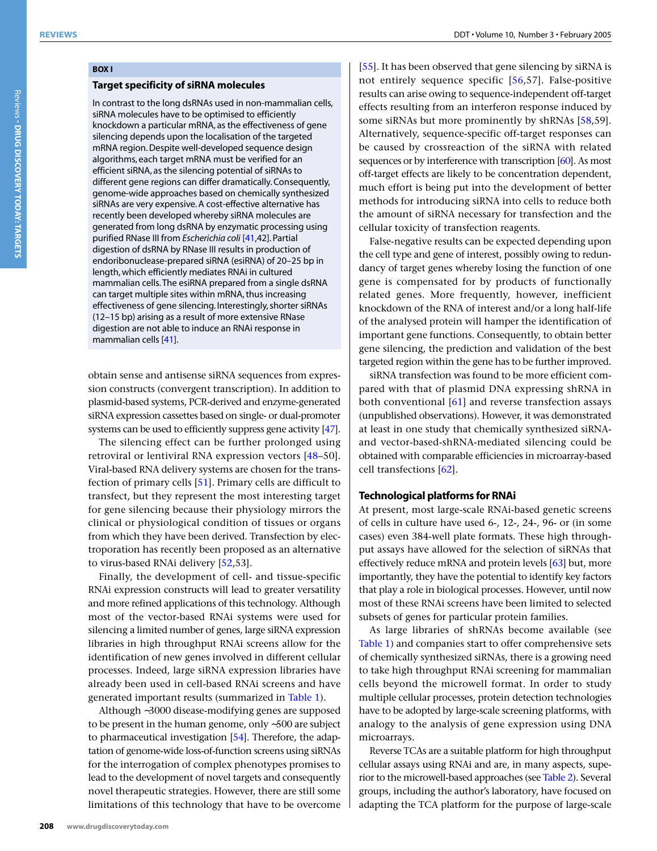<span id="page-3-0"></span>**BOX I**

#### **Target specificity of siRNA molecules**

In contrast to the long dsRNAs used in non-mammalian cells, siRNA molecules have to be optimised to efficiently knockdown a particular mRNA, as the effectiveness of gene silencing depends upon the localisation of the targeted mRNA region. Despite well-developed sequence design algorithms, each target mRNA must be verified for an efficient siRNA, as the silencing potential of siRNAs to different gene regions can differ dramatically. Consequently, genome-wide approaches based on chemically synthesized siRNAs are very expensive. A cost-effective alternative has recently been developed whereby siRNA molecules are generated from long dsRNA by enzymatic processing using purified RNase III from *Escherichia coli* [[41](#page-6-0),42].Partial digestion of dsRNA by RNase III results in production of endoribonuclease-prepared siRNA (esiRNA) of 20–25 bp in length, which efficiently mediates RNAi in cultured mammalian cells.The esiRNA prepared from a single dsRNA can target multiple sites within mRNA, thus increasing effectiveness of gene silencing. Interestingly, shorter siRNAs (12–15 bp) arising as a result of more extensive RNase digestion are not able to induce an RNAi response in mammalian cells [\[41](#page-6-0)].

obtain sense and antisense siRNA sequences from expression constructs (convergent transcription). In addition to plasmid-based systems, PCR-derived and enzyme-generated siRNA expression cassettes based on single- or dual-promoter systems can be used to efficiently suppress gene activity [[47](#page-6-0)].

The silencing effect can be further prolonged using retroviral or lentiviral RNA expression vectors [\[48](#page-6-0)–50]. Viral-based RNA delivery systems are chosen for the transfection of primary cells [\[51](#page-6-0)]. Primary cells are difficult to transfect, but they represent the most interesting target for gene silencing because their physiology mirrors the clinical or physiological condition of tissues or organs from which they have been derived. Transfection by electroporation has recently been proposed as an alternative to virus-based RNAi delivery [\[52](#page-6-0),53].

Finally, the development of cell- and tissue-specific RNAi expression constructs will lead to greater versatility and more refined applications of this technology. Although most of the vector-based RNAi systems were used for silencing a limited number of genes, large siRNA expression libraries in high throughput RNAi screens allow for the identification of new genes involved in different cellular processes. Indeed, large siRNA expression libraries have already been used in cell-based RNAi screens and have generated important results (summarized in [Table 1](#page-4-0)).

Although ∼3000 disease-modifying genes are supposed to be present in the human genome, only ∼500 are subject to pharmaceutical investigation [\[54](#page-6-0)]. Therefore, the adaptation of genome-wide loss-of-function screens using siRNAs for the interrogation of complex phenotypes promises to lead to the development of novel targets and consequently novel therapeutic strategies. However, there are still some limitations of this technology that have to be overcome [\[55](#page-6-0)]. It has been observed that gene silencing by siRNA is not entirely sequence specific [\[56](#page-6-0),57]. False-positive results can arise owing to sequence-independent off-target effects resulting from an interferon response induced by some siRNAs but more prominently by shRNAs [\[58](#page-6-0),59]. Alternatively, sequence-specific off-target responses can be caused by crossreaction of the siRNA with related sequences or by interference with transcription [\[60\]](#page-6-0). As most off-target effects are likely to be concentration dependent, much effort is being put into the development of better methods for introducing siRNA into cells to reduce both the amount of siRNA necessary for transfection and the cellular toxicity of transfection reagents.

False-negative results can be expected depending upon the cell type and gene of interest, possibly owing to redundancy of target genes whereby losing the function of one gene is compensated for by products of functionally related genes. More frequently, however, inefficient knockdown of the RNA of interest and/or a long half-life of the analysed protein will hamper the identification of important gene functions. Consequently, to obtain better gene silencing, the prediction and validation of the best targeted region within the gene has to be further improved.

siRNA transfection was found to be more efficient compared with that of plasmid DNA expressing shRNA in both conventional [[61\]](#page-7-0) and reverse transfection assays (unpublished observations). However, it was demonstrated at least in one study that chemically synthesized siRNAand vector-based-shRNA-mediated silencing could be obtained with comparable efficiencies in microarray-based cell transfections [[62](#page-7-0)].

### **Technological platforms for RNAi**

At present, most large-scale RNAi-based genetic screens of cells in culture have used 6-, 12-, 24-, 96- or (in some cases) even 384-well plate formats. These high throughput assays have allowed for the selection of siRNAs that effectively reduce mRNA and protein levels [[63\]](#page-7-0) but, more importantly, they have the potential to identify key factors that play a role in biological processes. However, until now most of these RNAi screens have been limited to selected subsets of genes for particular protein families.

As large libraries of shRNAs become available (see [Table](#page-4-0) 1) and companies start to offer comprehensive sets of chemically synthesized siRNAs, there is a growing need to take high throughput RNAi screening for mammalian cells beyond the microwell format. In order to study multiple cellular processes, protein detection technologies have to be adopted by large-scale screening platforms, with analogy to the analysis of gene expression using DNA microarrays.

Reverse TCAs are a suitable platform for high throughput cellular assays using RNAi and are, in many aspects, superior to the microwell-based approaches (se[e Table 2\)](#page-5-0). Several groups, including the author's laboratory, have focused on adapting the TCA platform for the purpose of large-scale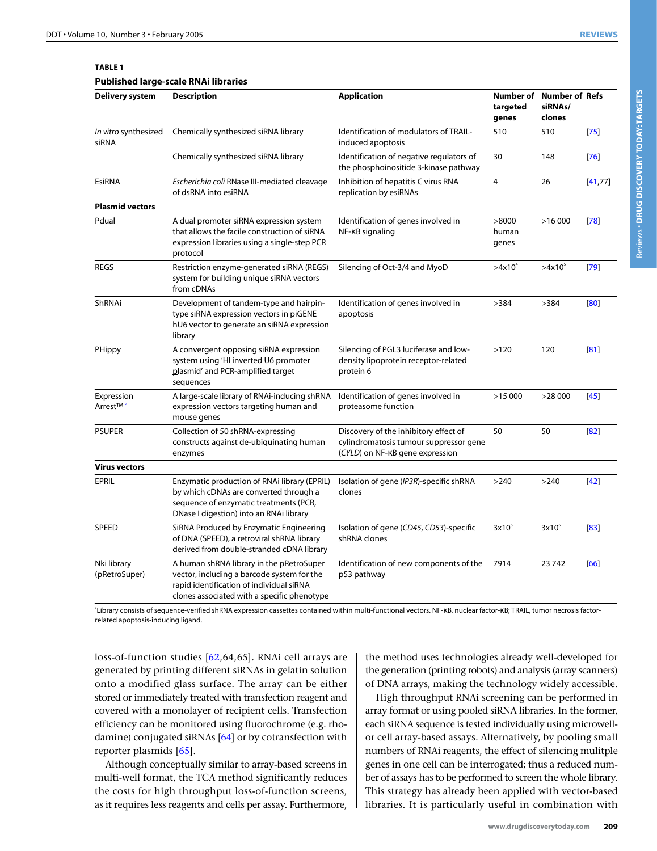<span id="page-4-0"></span>

|--|--|

|                               | <b>Published large-scale RNAi libraries</b>                                                                                                                                       |                                                                                                                    |                                |                                            |          |
|-------------------------------|-----------------------------------------------------------------------------------------------------------------------------------------------------------------------------------|--------------------------------------------------------------------------------------------------------------------|--------------------------------|--------------------------------------------|----------|
| <b>Delivery system</b>        | <b>Description</b>                                                                                                                                                                | <b>Application</b>                                                                                                 | Number of<br>targeted<br>genes | <b>Number of Refs</b><br>siRNAs/<br>clones |          |
| In vitro synthesized<br>siRNA | Chemically synthesized siRNA library                                                                                                                                              | Identification of modulators of TRAIL-<br>induced apoptosis                                                        | 510                            | 510                                        | [75]     |
|                               | Chemically synthesized siRNA library                                                                                                                                              | Identification of negative regulators of<br>the phosphoinositide 3-kinase pathway                                  | 30                             | 148                                        | $[76]$   |
| EsiRNA                        | Escherichia coli RNase III-mediated cleavage<br>of dsRNA into esiRNA                                                                                                              | Inhibition of hepatitis C virus RNA<br>replication by esiRNAs                                                      | $\overline{4}$                 | 26                                         | [41, 77] |
| <b>Plasmid vectors</b>        |                                                                                                                                                                                   |                                                                                                                    |                                |                                            |          |
| Pdual                         | A dual promoter siRNA expression system<br>that allows the facile construction of siRNA<br>expression libraries using a single-step PCR<br>protocol                               | Identification of genes involved in<br>$NF$ - $\kappa$ B signaling                                                 | >8000<br>human<br>genes        | >16000                                     | $[78]$   |
| <b>REGS</b>                   | Restriction enzyme-generated siRNA (REGS)<br>system for building unique siRNA vectors<br>from cDNAs                                                                               | Silencing of Oct-3/4 and MyoD                                                                                      | $>4x10^4$                      | $>4x10^5$                                  | [79]     |
| ShRNAi                        | Development of tandem-type and hairpin-<br>type siRNA expression vectors in piGENE<br>hU6 vector to generate an siRNA expression<br>library                                       | Identification of genes involved in<br>apoptosis                                                                   | >384                           | >384                                       | [80]     |
| PHippy                        | A convergent opposing siRNA expression<br>system using 'HI inverted U6 promoter<br>plasmid' and PCR-amplified target<br>sequences                                                 | Silencing of PGL3 luciferase and low-<br>density lipoprotein receptor-related<br>protein 6                         | >120                           | 120                                        | [81]     |
| Expression<br>Arrest™         | A large-scale library of RNAi-inducing shRNA<br>expression vectors targeting human and<br>mouse genes                                                                             | Identification of genes involved in<br>proteasome function                                                         | >15000                         | >28000                                     | $[45]$   |
| <b>PSUPER</b>                 | Collection of 50 shRNA-expressing<br>constructs against de-ubiquinating human<br>enzymes                                                                                          | Discovery of the inhibitory effect of<br>cylindromatosis tumour suppressor gene<br>(CYLD) on NF-KB gene expression | 50                             | 50                                         | [82]     |
| <b>Virus vectors</b>          |                                                                                                                                                                                   |                                                                                                                    |                                |                                            |          |
| <b>EPRIL</b>                  | Enzymatic production of RNAi library (EPRIL)<br>by which cDNAs are converted through a<br>sequence of enzymatic treatments (PCR,<br>DNase I digestion) into an RNAi library       | Isolation of gene (IP3R)-specific shRNA<br>clones                                                                  | >240                           | >240                                       | $[42]$   |
| <b>SPEED</b>                  | SiRNA Produced by Enzymatic Engineering<br>of DNA (SPEED), a retroviral shRNA library<br>derived from double-stranded cDNA library                                                | Isolation of gene (CD45, CD53)-specific<br>shRNA clones                                                            | $3x10^6$                       | $3x10^6$                                   | [83]     |
| Nki library<br>(pRetroSuper)  | A human shRNA library in the pRetroSuper<br>vector, including a barcode system for the<br>rapid identification of individual siRNA<br>clones associated with a specific phenotype | Identification of new components of the<br>p53 pathway                                                             | 7914                           | 23 742                                     | [66]     |

<sup>a</sup>Library consists of sequence-verified shRNA expression cassettes contained within multi-functional vectors. NF-κB, nuclear factor-κB; TRAIL, tumor necrosis factorrelated apoptosis-inducing ligand.

loss-of-function studies [\[62](#page-7-0),64,65]. RNAi cell arrays are generated by printing different siRNAs in gelatin solution onto a modified glass surface. The array can be either stored or immediately treated with transfection reagent and covered with a monolayer of recipient cells. Transfection efficiency can be monitored using fluorochrome (e.g. rhodamine) conjugated siRNAs [[64\]](#page-7-0) or by cotransfection with reporter plasmids [\[65\]](#page-7-0).

Although conceptually similar to array-based screens in multi-well format, the TCA method significantly reduces the costs for high throughput loss-of-function screens, as it requires less reagents and cells per assay. Furthermore, the method uses technologies already well-developed for the generation (printing robots) and analysis (array scanners) of DNA arrays, making the technology widely accessible.

High throughput RNAi screening can be performed in array format or using pooled siRNA libraries. In the former, each siRNA sequence is tested individually using microwellor cell array-based assays. Alternatively, by pooling small numbers of RNAi reagents, the effect of silencing mulitple genes in one cell can be interrogated; thus a reduced number of assays has to be performed to screen the whole library. This strategy has already been applied with vector-based libraries. It is particularly useful in combination with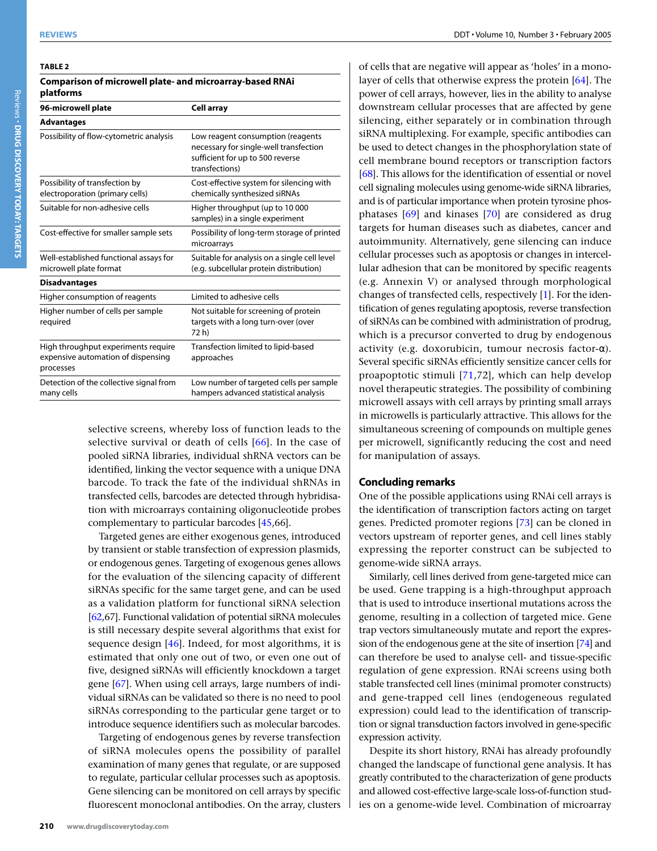## <span id="page-5-0"></span>**TABLE 2**

| Comparison of microwell plate- and microarray-based RNAi<br>platforms                  |                                                                                                                                   |  |  |  |
|----------------------------------------------------------------------------------------|-----------------------------------------------------------------------------------------------------------------------------------|--|--|--|
| 96-microwell plate                                                                     | <b>Cell array</b>                                                                                                                 |  |  |  |
| <b>Advantages</b>                                                                      |                                                                                                                                   |  |  |  |
| Possibility of flow-cytometric analysis                                                | Low reagent consumption (reagents<br>necessary for single-well transfection<br>sufficient for up to 500 reverse<br>transfections) |  |  |  |
| Possibility of transfection by<br>electroporation (primary cells)                      | Cost-effective system for silencing with<br>chemically synthesized siRNAs                                                         |  |  |  |
| Suitable for non-adhesive cells                                                        | Higher throughput (up to 10 000<br>samples) in a single experiment                                                                |  |  |  |
| Cost-effective for smaller sample sets                                                 | Possibility of long-term storage of printed<br>microarrays                                                                        |  |  |  |
| Well-established functional assays for<br>microwell plate format                       | Suitable for analysis on a single cell level<br>(e.g. subcellular protein distribution)                                           |  |  |  |
| <b>Disadvantages</b>                                                                   |                                                                                                                                   |  |  |  |
| Higher consumption of reagents                                                         | Limited to adhesive cells                                                                                                         |  |  |  |
| Higher number of cells per sample<br>required                                          | Not suitable for screening of protein<br>targets with a long turn-over (over<br>72 h)                                             |  |  |  |
| High throughput experiments require<br>expensive automation of dispensing<br>processes | Transfection limited to lipid-based<br>approaches                                                                                 |  |  |  |
| Detection of the collective signal from<br>many cells                                  | Low number of targeted cells per sample<br>hampers advanced statistical analysis                                                  |  |  |  |

selective screens, whereby loss of function leads to the selective survival or death of cells [[66](#page-7-0)]. In the case of pooled siRNA libraries, individual shRNA vectors can be identified, linking the vector sequence with a unique DNA barcode. To track the fate of the individual shRNAs in transfected cells, barcodes are detected through hybridisation with microarrays containing oligonucleotide probes complementary to particular barcodes [\[45](#page-6-0),66].

Targeted genes are either exogenous genes, introduced by transient or stable transfection of expression plasmids, or endogenous genes. Targeting of exogenous genes allows for the evaluation of the silencing capacity of different siRNAs specific for the same target gene, and can be used as a validation platform for functional siRNA selection [\[62](#page-7-0),67]. Functional validation of potential siRNA molecules is still necessary despite several algorithms that exist for sequence design [[46](#page-6-0)]. Indeed, for most algorithms, it is estimated that only one out of two, or even one out of five, designed siRNAs will efficiently knockdown a target gene [\[67](#page-7-0)]. When using cell arrays, large numbers of individual siRNAs can be validated so there is no need to pool siRNAs corresponding to the particular gene target or to introduce sequence identifiers such as molecular barcodes.

Targeting of endogenous genes by reverse transfection of siRNA molecules opens the possibility of parallel examination of many genes that regulate, or are supposed to regulate, particular cellular processes such as apoptosis. Gene silencing can be monitored on cell arrays by specific fluorescent monoclonal antibodies. On the array, clusters of cells that are negative will appear as 'holes' in a monolayer of cells that otherwise express the protein [[64](#page-7-0)]. The power of cell arrays, however, lies in the ability to analyse downstream cellular processes that are affected by gene silencing, either separately or in combination through siRNA multiplexing. For example, specific antibodies can be used to detect changes in the phosphorylation state of cell membrane bound receptors or transcription factors [[68](#page-7-0)]. This allows for the identification of essential or novel cell signaling molecules using genome-wide siRNA libraries, and is of particular importance when protein tyrosine phosphatases [\[69](#page-7-0)] and kinases [[70](#page-7-0)] are considered as drug targets for human diseases such as diabetes, cancer and autoimmunity. Alternatively, gene silencing can induce cellular processes such as apoptosis or changes in intercellular adhesion that can be monitored by specific reagents (e.g. Annexin V) or analysed through morphological changes of transfected cells, respectively [[1\]](#page-6-0). For the identification of genes regulating apoptosis, reverse transfection of siRNAs can be combined with administration of prodrug, which is a precursor converted to drug by endogenous activity (e.g. doxorubicin, tumour necrosis factor-α). Several specific siRNAs efficiently sensitize cancer cells for proapoptotic stimuli [[71](#page-7-0),72], which can help develop novel therapeutic strategies. The possibility of combining microwell assays with cell arrays by printing small arrays in microwells is particularly attractive. This allows for the simultaneous screening of compounds on multiple genes per microwell, significantly reducing the cost and need for manipulation of assays.

#### **Concluding remarks**

One of the possible applications using RNAi cell arrays is the identification of transcription factors acting on target genes. Predicted promoter regions [[73\]](#page-7-0) can be cloned in vectors upstream of reporter genes, and cell lines stably expressing the reporter construct can be subjected to genome-wide siRNA arrays.

Similarly, cell lines derived from gene-targeted mice can be used. Gene trapping is a high-throughput approach that is used to introduce insertional mutations across the genome, resulting in a collection of targeted mice. Gene trap vectors simultaneously mutate and report the expression of the endogenous gene at the site of insertion [\[74\]](#page-7-0) and can therefore be used to analyse cell- and tissue-specific regulation of gene expression. RNAi screens using both stable transfected cell lines (minimal promoter constructs) and gene-trapped cell lines (endogeneous regulated expression) could lead to the identification of transcription or signal transduction factors involved in gene-specific expression activity.

Despite its short history, RNAi has already profoundly changed the landscape of functional gene analysis. It has greatly contributed to the characterization of gene products and allowed cost-effective large-scale loss-of-function studies on a genome-wide level. Combination of microarray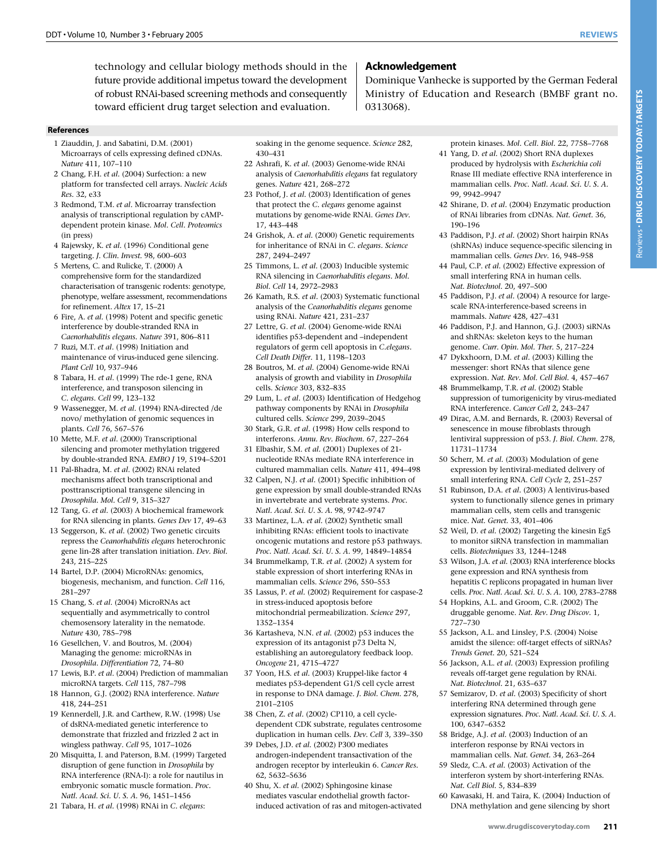<span id="page-6-0"></span>technology and cellular biology methods should in the future provide additional impetus toward the development of robust RNAi-based screening methods and consequently toward efficient drug target selection and evaluation.

#### **References**

- 1 Ziauddin, J. and Sabatini, D.M. (2001) Microarrays of cells expressing defined cDNAs. *Nature* 411, 107–110
- 2 Chang, F.H. *et al.* (2004) Surfection: a new platform for transfected cell arrays. *Nucleic Acids Res.* 32, e33
- 3 Redmond, T.M. *et al.* Microarray transfection analysis of transcriptional regulation by cAMPdependent protein kinase. *Mol. Cell. Proteomics* (in press)
- 4 Rajewsky, K. *et al.* (1996) Conditional gene targeting. *J. Clin. Invest.* 98, 600–603
- 5 Mertens, C. and Rulicke, T. (2000) A comprehensive form for the standardized characterisation of transgenic rodents: genotype, phenotype, welfare assessment, recommendations for refinement. *Altex* 17, 15–21
- 6 Fire, A. *et al.* (1998) Potent and specific genetic interference by double-stranded RNA in *Caenorhabditis elegans. Nature* 391, 806–811
- 7 Ruzi, M.T. *et al*. (1998) Initiation and maintenance of virus-induced gene silencing. *Plant Cell* 10, 937–946
- 8 Tabara, H. *et al*. (1999) The rde-1 gene, RNA interference, and transposon silencing in *C. elegans*. *Cell* 99, 123–132
- 9 Wassenegger, M. *et al*. (1994) RNA-directed /de novo/ methylation of genomic sequences in plants. *Cell* 76, 567–576
- 10 Mette, M.F. *et al*. (2000) Transcriptional silencing and promoter methylation triggered by double-stranded RNA. *EMBO J* 19, 5194–5201
- 11 Pal-Bhadra, M. *et al*. (2002) RNAi related mechanisms affect both transcriptional and posttranscriptional transgene silencing in *Drosophila*. *Mol. Cell* 9, 315–327
- 12 Tang, G. *et al*. (2003) A biochemical framework for RNA silencing in plants. *Genes Dev* 17, 49–63
- 13 Seggerson, K. *et al*. (2002) Two genetic circuits repress the *Ceanorhabditis elegans* heterochronic gene lin-28 after translation initiation. *Dev. Biol.* 243, 215–225
- 14 Bartel, D.P. (2004) MicroRNAs: genomics, biogenesis, mechanism, and function. *Cell* 116, 281–297
- 15 Chang, S. *et al*. (2004) MicroRNAs act sequentially and asymmetrically to control chemosensory laterality in the nematode. *Nature* 430, 785–798
- 16 Gesellchen, V. and Boutros, M. (2004) Managing the genome: microRNAs in *Drosophila*. *Differentiation* 72, 74–80
- 17 Lewis, B.P. *et al*. (2004) Prediction of mammalian microRNA targets. *Cell* 115, 787–798
- 18 Hannon, G.J. (2002) RNA interference. *Nature* 418, 244–251
- 19 Kennerdell, J.R. and Carthew, R.W. (1998) Use of dsRNA-mediated genetic interference to demonstrate that frizzled and frizzled 2 act in wingless pathway. *Cell* 95, 1017–1026
- 20 Misquitta, I. and Paterson, B.M. (1999) Targeted disruption of gene function in *Drosophila* by RNA interference (RNA-I): a role for nautilus in embryonic somatic muscle formation. *Proc. Natl. Acad. Sci. U. S. A.* 96, 1451–1456
- 21 Tabara, H. *et al.* (1998) RNAi in *C. elegans*:

soaking in the genome sequence. *Science* 282, 430–431

- 22 Ashrafi, K. *et al.* (2003) Genome-wide RNAi analysis of *Caenorhabditis elegans* fat regulatory genes. *Nature* 421, 268–272
- 23 Pothof, J. *et al.* (2003) Identification of genes that protect the *C. elegans* genome against mutations by genome-wide RNAi. *Genes Dev.* 17, 443–448
- 24 Grishok, A. *et al.* (2000) Genetic requirements for inheritance of RNAi in *C. elegans. Science* 287, 2494–2497
- 25 Timmons, L. *et al.* (2003) Inducible systemic RNA silencing in *Caenorhabditis elegans. Mol. Biol. Cell* 14, 2972–2983
- 26 Kamath, R.S. *et al.* (2003) Systematic functional analysis of the *Ceanorhabditis elegans* genome using RNAi. *Nature* 421, 231–237
- 27 Lettre, G. *et al.* (2004) Genome-wide RNAi identifies p53-dependent and –independent regulators of germ cell apoptosis in *C.elegans. Cell Death Differ.* 11, 1198–1203
- 28 Boutros, M. *et al.* (2004) Genome-wide RNAi analysis of growth and viability in *Drosophila* cells. *Science* 303, 832–835
- 29 Lum, L. *et al.* (2003) Identification of Hedgehog pathway components by RNAi in *Drosophila* cultured cells. *Science* 299, 2039–2045
- 30 Stark, G.R. *et al.* (1998) How cells respond to interferons. *Annu. Rev. Biochem.* 67, 227–264
- 31 Elbashir, S.M. *et al.* (2001) Duplexes of 21 nucleotide RNAs mediate RNA interference in cultured mammalian cells. *Nature* 411, 494–498
- 32 Calpen, N.J. *et al.* (2001) Specific inhibition of gene expression by small double-stranded RNAs in invertebrate and vertebrate systems. *Proc. Natl. Acad. Sci. U. S. A.* 98, 9742–9747
- 33 Martinez, L.A. *et al.* (2002) Synthetic small inhibiting RNAs: efficient tools to inactivate oncogenic mutations and restore p53 pathways. *Proc. Natl. Acad. Sci. U. S. A.* 99, 14849–14854
- 34 Brummelkamp, T.R. *et al.* (2002) A system for stable expression of short interfering RNAs in mammalian cells. *Science* 296, 550–553
- 35 Lassus, P. *et al.* (2002) Requirement for caspase-2 in stress-induced apoptosis before mitochondrial permeabilization. *Science* 297, 1352–1354
- 36 Kartasheva, N.N. *et al.* (2002) p53 induces the expression of its antagonist p73 Delta N, establishing an autoregulatory feedback loop. *Oncogene* 21, 4715–4727
- 37 Yoon, H.S. *et al.* (2003) Kruppel-like factor 4 mediates p53-dependent G1/S cell cycle arrest in response to DNA damage. *J. Biol. Chem.* 278, 2101–2105
- 38 Chen, Z. *et al.* (2002) CP110, a cell cycledependent CDK substrate, regulates centrosome duplication in human cells. *Dev. Cell* 3, 339–350
- 39 Debes, J.D. *et al.* (2002) P300 mediates androgen-independent transactivation of the androgen receptor by interleukin 6. *Cancer Res.* 62, 5632–5636
- 40 Shu, X. *et al.* (2002) Sphingosine kinase mediates vascular endothelial growth factorinduced activation of ras and mitogen-activated

#### **Acknowledgement**

Dominique Vanhecke is supported by the German Federal Ministry of Education and Research (BMBF grant no. 0313068).

protein kinases. *Mol. Cell. Biol.* 22, 7758–7768

- 41 Yang, D. *et al.* (2002) Short RNA duplexes produced by hydrolysis with *Escherichia coli* Rnase III mediate effective RNA interference in mammalian cells. *Proc. Natl. Acad. Sci. U. S. A.* 99, 9942–9947
- 42 Shirane, D. *et al.* (2004) Enzymatic production of RNAi libraries from cDNAs. *Nat. Genet.* 36, 190–196
- 43 Paddison, P.J. *et al.* (2002) Short hairpin RNAs (shRNAs) induce sequence-specific silencing in mammalian cells. *Genes Dev.* 16, 948–958
- 44 Paul, C.P. *et al.* (2002) Effective expression of small interfering RNA in human cells. *Nat. Biotechnol.* 20, 497–500
- 45 Paddison, P.J. *et al.* (2004) A resource for largescale RNA-interference-based screens in mammals. *Nature* 428, 427–431
- 46 Paddison, P.J. and Hannon, G.J. (2003) siRNAs and shRNAs: skeleton keys to the human genome. *Curr. Opin. Mol. Ther.* 5, 217–224
- 47 Dykxhoorn, D.M. *et al.* (2003) Killing the messenger: short RNAs that silence gene expression. *Nat. Rev. Mol. Cell Biol.* 4, 457–467
- 48 Brummelkamp, T.R. *et al.* (2002) Stable suppression of tumorigenicity by virus-mediated RNA interference. *Cancer Cell* 2, 243–247
- 49 Dirac, A.M. and Bernards, R. (2003) Reversal of senescence in mouse fibroblasts through lentiviral suppression of p53. *J. Biol. Chem.* 278, 11731–11734
- 50 Scherr, M. *et al.* (2003) Modulation of gene expression by lentiviral-mediated delivery of small interfering RNA. *Cell Cycle* 2, 251–257
- 51 Rubinson, D.A. *et al.* (2003) A lentivirus-based system to functionally silence genes in primary mammalian cells, stem cells and transgenic mice. *Nat. Genet.* 33, 401–406
- 52 Weil, D. *et al.* (2002) Targeting the kinesin Eg5 to monitor siRNA transfection in mammalian cells. *Biotechniques* 33, 1244–1248
- 53 Wilson, J.A. *et al.* (2003) RNA interference blocks gene expression and RNA synthesis from hepatitis C replicons propagated in human liver cells. *Proc. Natl. Acad. Sci. U. S. A.* 100, 2783–2788
- 54 Hopkins, A.L. and Groom, C.R. (2002) The druggable genome. *Nat. Rev. Drug Discov.* 1, 727–730
- 55 Jackson, A.L. and Linsley, P.S. (2004) Noise amidst the silence: off-target effects of siRNAs? *Trends Genet.* 20, 521–524
- 56 Jackson, A.L. *et al.* (2003) Expression profiling reveals off-target gene regulation by RNAi. *Nat. Biotechnol.* 21, 635–637
- 57 Semizarov, D. *et al.* (2003) Specificity of short interfering RNA determined through gene expression signatures. *Proc. Natl. Acad. Sci. U. S. A.* 100, 6347–6352
- 58 Bridge, A.J. *et al.* (2003) Induction of an interferon response by RNAi vectors in mammalian cells. *Nat. Genet.* 34, 263–264
- 59 Sledz, C.A. *et al.* (2003) Activation of the interferon system by short-interfering RNAs. *Nat. Cell Biol.* 5, 834–839
- 60 Kawasaki, H. and Taira, K. (2004) Induction of DNA methylation and gene silencing by short